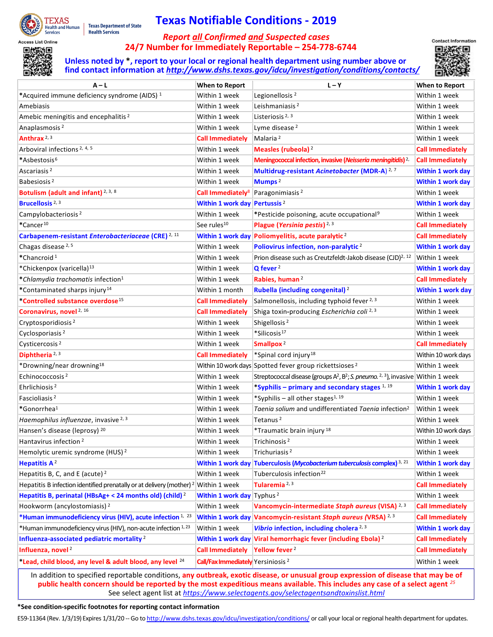

**Texas Department of State Health Services** 

## **Texas Notifiable Conditions - 2019**

## <span id="page-0-5"></span>*Report all Confirmed and Suspected cases* **24/7 Number for Immediately Reportable – 254-778-6744**



<span id="page-0-4"></span><span id="page-0-2"></span>**Unless noted by \*, report to your local or regional health department using number above or find contact information at** *<http://www.dshs.texas.gov/idcu/investigation/conditions/contacts/>*

<span id="page-0-7"></span><span id="page-0-6"></span><span id="page-0-1"></span><span id="page-0-0"></span>

<span id="page-0-3"></span>

| $A - L$                                                                 | When to Report                                | $L - Y$                                                                                                              | When to Report           |
|-------------------------------------------------------------------------|-----------------------------------------------|----------------------------------------------------------------------------------------------------------------------|--------------------------|
| *Acquired immune deficiency syndrome (AIDS) <sup>1</sup>                | Within 1 week                                 | Legionellosis <sup>2</sup>                                                                                           | Within 1 week            |
| Amebiasis                                                               | Within 1 week                                 | Leishmaniasis <sup>2</sup>                                                                                           | Within 1 week            |
| Amebic meningitis and encephalitis <sup>2</sup>                         | Within 1 week                                 | Listeriosis $2, 3$                                                                                                   | Within 1 week            |
| Anaplasmosis <sup>2</sup>                                               | Within 1 week                                 | Lyme disease <sup>2</sup>                                                                                            | Within 1 week            |
| Anthrax <sup>2, 3</sup>                                                 | <b>Call Immediately</b>                       | Malaria <sup>2</sup>                                                                                                 | Within 1 week            |
| Arboviral infections <sup>2, 4, 5</sup>                                 | Within 1 week                                 | Measles (rubeola) <sup>2</sup>                                                                                       | <b>Call Immediately</b>  |
| *Asbestosis <sup>6</sup>                                                | Within 1 week                                 | Meningococcal infection, invasive (Neisseria meningitidis) <sup>2,</sup>                                             | <b>Call Immediately</b>  |
| Ascariasis <sup>2</sup>                                                 | Within 1 week                                 | Multidrug-resistant Acinetobacter (MDR-A) <sup>2,7</sup>                                                             | <b>Within 1 work day</b> |
| Babesiosis <sup>2</sup>                                                 | Within 1 week                                 | Mumps <sup>2</sup>                                                                                                   | <b>Within 1 work day</b> |
| Botulism (adult and infant) <sup>2, 3, 8</sup>                          | Call Immediately <sup>8</sup>                 | Paragonimiasis <sup>2</sup>                                                                                          | Within 1 week            |
| Brucellosis <sup>2, 3</sup>                                             | Within 1 work day Pertussis <sup>2</sup>      |                                                                                                                      | <b>Within 1 work day</b> |
| Campylobacteriosis <sup>2</sup>                                         | Within 1 week                                 | *Pesticide poisoning, acute occupational <sup>9</sup>                                                                | Within 1 week            |
| *Cancer <sup>10</sup>                                                   | See rules <sup>10</sup>                       | Plague (Yersinia pestis) <sup>2,3</sup>                                                                              | <b>Call Immediately</b>  |
| Carbapenem-resistant Enterobacteriaceae (CRE) <sup>2, 11</sup>          |                                               | Within 1 work day Poliomyelitis, acute paralytic <sup>2</sup>                                                        | <b>Call Immediately</b>  |
| Chagas disease <sup>2, 5</sup>                                          | Within 1 week                                 | Poliovirus infection, non-paralytic <sup>2</sup>                                                                     | <b>Within 1 work day</b> |
| *Chancroid <sup>1</sup>                                                 | Within 1 week                                 | Prion disease such as Creutzfeldt-Jakob disease (CJD) <sup>2, 12</sup>                                               | Within 1 week            |
| *Chickenpox (varicella) <sup>13</sup>                                   | Within 1 week                                 | $Q$ fever $2$                                                                                                        | <b>Within 1 work day</b> |
| *Chlamydia trachomatis infection <sup>1</sup>                           | Within 1 week                                 | Rabies, human <sup>2</sup>                                                                                           | <b>Call Immediately</b>  |
| *Contaminated sharps injury <sup>14</sup>                               | Within 1 month                                | Rubella (including congenital) <sup>2</sup>                                                                          | Within 1 work day        |
| *Controlled substance overdose <sup>15</sup>                            | <b>Call Immediately</b>                       | Salmonellosis, including typhoid fever 2, 3                                                                          | Within 1 week            |
| Coronavirus, novel <sup>2, 16</sup>                                     | <b>Call Immediately</b>                       | Shiga toxin-producing Escherichia coli 2, 3                                                                          | Within 1 week            |
| Cryptosporidiosis <sup>2</sup>                                          | Within 1 week                                 | Shigellosis <sup>2</sup>                                                                                             | Within 1 week            |
| Cyclosporiasis <sup>2</sup>                                             | Within 1 week                                 | *Silicosis <sup>17</sup>                                                                                             | Within 1 week            |
| Cysticercosis <sup>2</sup>                                              | Within 1 week                                 | Smallpox <sup>2</sup>                                                                                                | <b>Call Immediately</b>  |
| Diphtheria <sup>2, 3</sup>                                              | <b>Call Immediately</b>                       | *Spinal cord injury <sup>18</sup>                                                                                    | Within 10 work days      |
| *Drowning/near drowning <sup>18</sup>                                   |                                               | Within 10 work days Spotted fever group rickettsioses <sup>2</sup>                                                   | Within 1 week            |
| Echinococcosis <sup>2</sup>                                             | Within 1 week                                 | Streptococcal disease (groups A <sup>2</sup> , B <sup>2</sup> ; S. pneumo. <sup>2, 3</sup> ), invasive Within 1 week |                          |
| Ehrlichiosis <sup>2</sup>                                               | Within 1 week                                 | *Syphilis - primary and secondary stages 1, 19                                                                       | <b>Within 1 work day</b> |
| Fascioliasis <sup>2</sup>                                               | Within 1 week                                 | *Syphilis - all other stages <sup>1, 19</sup>                                                                        | Within 1 week            |
| *Gonorrhea <sup>1</sup>                                                 | Within 1 week                                 | Taenia solium and undifferentiated Taenia infection <sup>2</sup>                                                     | Within 1 week            |
| Haemophilus influenzae, invasive 2, 3                                   | Within 1 week                                 | Tetanus <sup>2</sup>                                                                                                 | Within 1 week            |
| Hansen's disease (leprosy) 20                                           | Within 1 week                                 | *Traumatic brain injury <sup>18</sup>                                                                                | Within 10 work days      |
| Hantavirus infection <sup>2</sup>                                       | Within 1 week                                 | Trichinosis <sup>2</sup>                                                                                             | Within 1 week            |
| Hemolytic uremic syndrome (HUS) <sup>2</sup>                            | Within 1 week                                 | Trichuriasis <sup>2</sup>                                                                                            | Within 1 week            |
| Hepatitis $A^2$                                                         | <b>Within 1 work day</b>                      | Tuberculosis (Mycobacterium tuberculosis complex) <sup>3, 21</sup>                                                   | <b>Within 1 work day</b> |
| Hepatitis B, C, and E (acute) $2$                                       | Within 1 week                                 | Tuberculosis infection <sup>22</sup>                                                                                 | Within 1 week            |
| Hepatitis B infection identified prenatally or at delivery (mother) $2$ | Within 1 week                                 | Tularemia <sup>2, 3</sup>                                                                                            | <b>Call Immediately</b>  |
| Hepatitis B, perinatal (HBsAg+ < 24 months old) (child) <sup>2</sup>    | Within 1 work day Typhus <sup>2</sup>         |                                                                                                                      | Within 1 week            |
| Hookworm (ancylostomiasis) <sup>2</sup>                                 | Within 1 week                                 | Vancomycin-intermediate Staph aureus (VISA) 2, 3                                                                     | <b>Call Immediately</b>  |
| *Human immunodeficiency virus (HIV), acute infection 1, 23              | <b>Within 1 work day</b>                      | Vancomycin-resistant Staph aureus (VRSA) <sup>2,3</sup>                                                              | <b>Call Immediately</b>  |
| *Human immunodeficiency virus (HIV), non-acute infection 1, 23          | Within 1 week                                 | Vibrio infection, including cholera <sup>2, 3</sup>                                                                  | <b>Within 1 work day</b> |
| Influenza-associated pediatric mortality <sup>2</sup>                   | <b>Within 1 work day</b>                      | Viral hemorrhagic fever (including Ebola) <sup>2</sup>                                                               | <b>Call Immediately</b>  |
| Influenza, novel <sup>2</sup>                                           | <b>Call Immediately</b>                       | Yellow fever <sup>2</sup>                                                                                            | <b>Call Immediately</b>  |
| *Lead, child blood, any level & adult blood, any level 24               | Call/Fax Immediately Yersiniosis <sup>2</sup> |                                                                                                                      | Within 1 week            |
|                                                                         |                                               |                                                                                                                      |                          |

<span id="page-0-8"></span>In addition to specified reportable conditions, **any outbreak, exotic disease, or unusual group expression of disease that may be of public health concern should be reported by the most expeditious means available. This includes any case of a select agent** *[25](#page-1-24)* See select agent list at *<https://www.selectagents.gov/selectagentsandtoxinslist.html>*

## **\*See condition-specific footnotes for reporting contact information**

E59-11364 (Rev. 1/3/19) Expires 1/31/20 -- Go t[o http://www.dshs.texas.gov/idcu/investigation/conditions/](http://www.dshs.texas.gov/idcu/investigation/conditions/) or call your local or regional health department for updates.